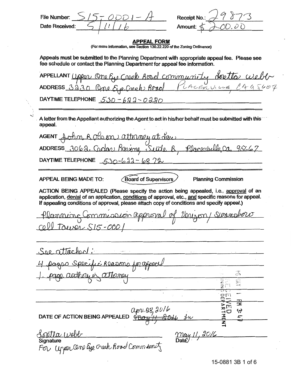**File Number:** Date Received:

Receipt No.: Amount:

#### **APPEAL FORM**

(For more information, see Section 130.22.220 of the Zoning Ordinance)

Appeals must be submitted to the Planning Department with appropriate appeal fee. Please see fee schedule or contact the Planning Department for appeal fee information.

APPELLANT  $(10000)$  $\Delta$ optles Crook Road Communit ADDRESS 3230 Cone BUT VILLER Cip Creek Rose DAYTIME TELEPHONE  $530 - 622 - 0280$ A letter from the Appellant authorizing the Agent to act in his/her behalf must be submitted with this appeal. pro Rolson atterney at Jay **AGENT** ADDRESS 3062, Codar Ravine, Suite B Placessiulle Ca, 95667 DAYTIME TELEPHONE  $530-627-6872$ Board of Supervisors **APPEAL BEING MADE TO: Planning Commission** ACTION BEING APPEALED (Please specify the action being appealed, i.e., approval of an application, denial of an application, conditions of approval, etc., and specific reasons for appeal. If appealing conditions of approval, please attach copy of conditions and specify appeal.) mmission approra Verison/Sierraboro mmeno Ouver 515-000 See attacher  $0a$ sons  $\ell$  on Theor ँ  $\frac{\widetilde{x}}{\widetilde{x}}$  $\sum_{i=1}^{n}$ om 곺  $\sum_{i=1}^{N}$ apr. 08, 2016 بب  $\overline{\phantom{a}}$ DATE OF ACTION BEING APPEALED  $\mathbb{A}^{\alpha}$ 팔 <u> Toutla Webb</u><br>Signature II. 2016 Signature<br>For Upper One Eye Creek Road Commant

15-0881 3B 1 of 6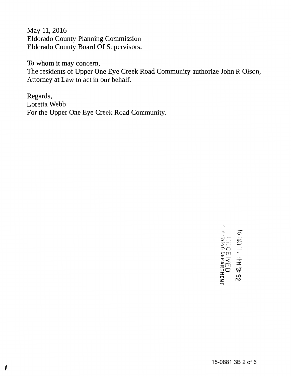May 11,2016 Eldorado County Planning Commission Eldorado County Board Of Supervisors.

To whom it may concern, The residents of Upper One Eye Creek Road Community authorize John R Olson, Attorney at Law to act in our behalf.

Regards, Loretta Webb For the Upper One Eye Creek Road Community.

> $\vec{x}$   $\vec{z}$   $\vec{z}$   $\vec{z}$   $\vec{z}$   $\vec{z}$   $\vec{z}$   $\vec{z}$   $\vec{z}$   $\vec{z}$   $\vec{z}$   $\vec{z}$   $\vec{z}$   $\vec{z}$   $\vec{z}$   $\vec{z}$   $\vec{z}$   $\vec{z}$   $\vec{z}$   $\vec{z}$   $\vec{z}$   $\vec{z}$   $\vec{z}$   $\vec{z}$   $\vec{z}$   $\vec{z}$   $\vec{z}$   $\vec{z}$  $5^\circ$  $\frac{10}{25}$ ED<br>RTHENT G• *-r,*   $\mathbf{F}$ C!? *en*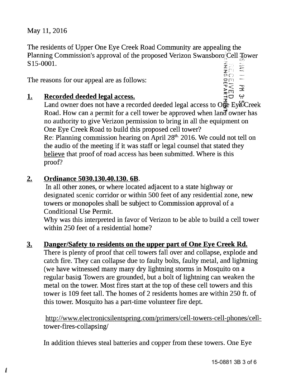May 11,2016

The residents of Upper One Eye Creek Road Community are appealing the Planning Commission's approval of the proposed Verizon Swansboro Cell Tower المستقلة المستقلة المستقلة المستقلة المستقلة المستقلة المستقلة المستقلة المستقلة المستقلة المستقلة المستقلة ال<br>يُدَارِ مُعَ المستقلة المستقلة المستقلة المستقلة المستقلة المستقلة المستقلة المستقلة المستقلة المستقلة المستق

The reasons for our appeal are as follows:

#### **1.** Recorded deeded legal access. **2008**

Land owner does not have a recorded deeded legal access to  $O<sub>II</sub>$  Ey&Creek Road. How can a permit for a cell tower be approved when land owner has no authority to give Verizon permission to bring in all the equipment on One Eye Creek Road to build this proposed cell tower? Re: Planning commission hearing on April 28<sup>th.</sup> 2016. We could not tell on the audio of the meeting if it was staff or legal counsel that stated they believe that proof of road access has been submitted. Where is this proof?

# **2. Ordinance 5030.130.40.130. 6B.**

In all other zones, or where located adjacent to a state highway or designated scenic corridor or within 500 feet of any residential zone, new towers or monopoles shall be subject to Commission approval of a Conditional Use Permit.

Why was this interpreted in favor of Verizon to be able to build a cell tower within 250 feet of a residential home?

# **3. Danger/Safety to residents on the upper part of One Eye Creek Rd.**

There is plenty of proof that cell towers fall over and collapse, explode and catch fire. They can collapse due to faulty bolts, faulty metal, and lightning (we have witnessed many many dry lightning storms in Mosquito on a regular basis). Towers are grounded, but a bolt of lightning can weaken the metal on the tower. Most fires start at the top of these cell towers and this tower is 109 feet tall. The homes of 2 residents homes are within 250 ft. of this tower. Mosquito has a part -time volunteer fire dept.

http://www.electronicsilentspring.com/primers/cell-towers-cell-phones/celltower-fires-collapsing/

In addition thieves steal batteries and copper from these towers. One Eye

王<br>N F 三<br>0 C 一 **| | PM :**<br>
- EIVE<br>
- DEPAR<br>
- DEPAR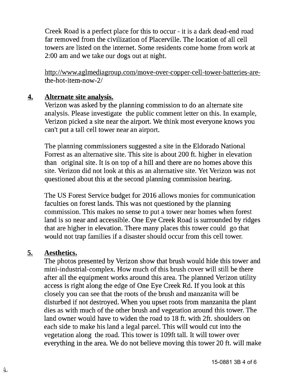Creek Road is a perfect place for this to occur- it is a dark dead-end road far removed from the civilization of Placerville. The location of all cell towers are listed on the internet. Some residents come home from work at 2:00 am and we take our dogs out at night.

http://www.aglmediagroup.com/move-over-copper-cell-tower-batteries-arethe-hot -item-now-2/

# **4. Alternate site analysis.**

Verizon was asked by the planning commission to do an alternate site analysis. Please investigate the public comment letter on this. In example, Verizon picked a site near the airport. We think most everyone knows you can't put a tall cell tower near an airport.

The planning commissioners suggested a site in the Eldorado National Forrest as an alternative site. This site is about 200 ft. higher in elevation than original site. It is on top of a hill and there are no homes above this site. Verizon did not look at this as an alternative site. Yet Verizon was not questioned about this at the second planning commission hearing.

The US Forest Service budget for 2016 allows monies for communication faculties on forest lands. This was not questioned by the planning commission. This makes no sense to put a tower near homes when forest land is so near and accessible. One Eye Creek Road is surrounded by ridges that are higher in elevation. There many places this tower could go that would not trap families if a disaster should occur from this cell tower.

#### **5. Aesthetics.**

The photos presented by Verizon show that brush would hide this tower and mini-industrial-complex. How much of this brush cover will still be there after all the equipment works around this area. The planned Verizon utility access is right along the edge of One Eye Creek Rd. If you look at this closely you can see that the roots of the brush and manzanita will be disturbed if not destroyed. When you upset roots from manzanita the plant dies as with much of the other brush and vegetation around this tower. The land owner would have to widen the road to 18 ft. with 2ft. shoulders on each side to make his land a legal parcel. This will would cut into the vegetation along the road. This tower is 109ft tall. It will tower over everything in the area. We do not believe moving this tower 20 ft. will make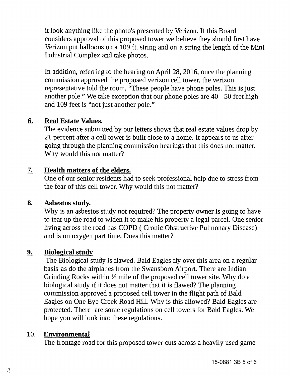it look anything like the photo's presented by Verizon. If this Board considers approval of this proposed tower we believe they should first have Verizon put balloons on a 109 ft. string and on a string the length of the Mini Industrial Complex and take photos.

In addition, referring to the hearing on April 28, 2016, once the planning commission approved the proposed verizon cell tower, the verizon representative told the room, "These people have phone poles. This is just another pole." We take exception that our phone poles are 40 - 50 feet high and 109 feet is "not just another pole."

# **6. Real Estate Values.**

The evidence submitted by our letters shows that real estate values drop by 21 percent after a cell tower is built close to a home. It appears to us after going through the planning commission hearings that this does not matter. Why would this not matter?

# **7. Health matters of the elders.**

One of our senior residents had to seek professional help due to stress from the fear of this cell tower. Why would this not matter?

# **8. Asbestos study.**

Why is an asbestos study not required? The property owner is going to have to tear up the road to widen it to make his property a legal parcel. One senior living across the road has COPD (Cronic Obstructive Pulmonary Disease) and is on oxygen part time. Does this matter?

# **9. Biological study**

The Biological study is flawed. Bald Eagles fly over this area on a regular basis as do the airplanes from the Swansboro Airport. There are Indian Grinding Rocks within  $\frac{1}{2}$  mile of the proposed cell tower site. Why do a biological study if it does not matter that it is flawed? The planning commission approved a proposed cell tower in the flight path of Bald Eagles on One Eye Creek Road Hill. Why is this allowed? Bald Eagles are protected. There are some regulations on cell towers for Bald Eagles. We hope you will look into these regulations.

#### 10. **Environmental**

The frontage road for this proposed tower cuts across a heavily used game